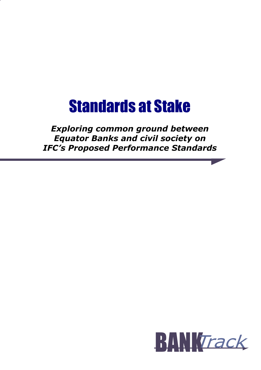# Standards at Stake

# Exploring common ground between Equator Banks and civil society on IFC's Proposed Performance Standards

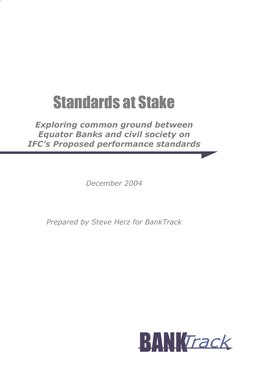# Standards at Stake

# Exploring common ground between Equator Banks and civil society on IFC's Proposed performance standards

December 2004

Prepared by Steve Herz for BankTrack

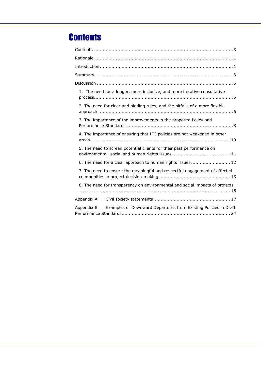# **Contents**

|            | 1. The need for a longer, more inclusive, and more iterative consultative    |
|------------|------------------------------------------------------------------------------|
|            | 2. The need for clear and binding rules, and the pitfalls of a more flexible |
|            | 3. The importance of the improvements in the proposed Policy and             |
|            | 4. The importance of ensuring that IFC policies are not weakened in other    |
|            | 5. The need to screen potential clients for their past performance on        |
|            | 6. The need for a clear approach to human rights issues 12                   |
|            | 7. The need to ensure the meaningful and respectful engagement of affected   |
|            | 8. The need for transparency on environmental and social impacts of projects |
|            |                                                                              |
| Appendix A |                                                                              |
| Appendix B | Examples of Downward Departures from Existing Policies in Draft              |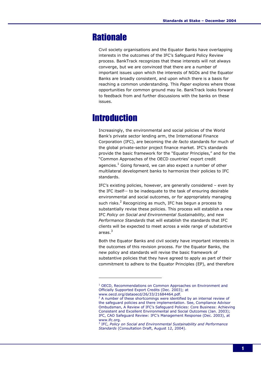# **Rationale**

Civil society organisations and the Equator Banks have overlapping interests in the outcomes of the IFC's Safeguard Policy Review process. BankTrack recognizes that these interests will not always converge, but we are convinced that there are a number of important issues upon which the interests of NGOs and the Equator Banks are broadly consistent, and upon which there is a basis for reaching a common understanding. This Paper explores where those opportunities for common ground may lie. BankTrack looks forward to feedback from and further discussions with the banks on these issues.

# **Introduction**

ł

Increasingly, the environmental and social policies of the World Bank's private sector lending arm, the International Finance Corporation (IFC), are becoming the de facto standards for much of the global private-sector project finance market. IFC's standards provide the basic framework for the "Equator Principles," and for the "Common Approaches of the OECD countries' export credit agencies.<sup>1</sup> Going forward, we can also expect a number of other multilateral development banks to harmonize their policies to IFC standards.

IFC's existing policies, however, are generally considered – even by the IFC itself-- to be inadequate to the task of ensuring desirable environmental and social outcomes, or for appropriately managing such risks.<sup>2</sup> Recognizing as much, IFC has begun a process to substantially revise these policies. This process will establish a new IFC Policy on Social and Environmental Sustainability, and new Performance Standards that will establish the standards that IFC clients will be expected to meet across a wide range of substantive areas.<sup>3</sup>

Both the Equator Banks and civil society have important interests in the outcomes of this revision process. For the Equator Banks, the new policy and standards will revise the basic framework of substantive policies that they have agreed to apply as part of their commitment to adhere to the Equator Principles (EP), and therefore

<sup>&</sup>lt;sup>1</sup> OECD, Recommendations on Common Approaches on Environment and Officially Supported Export Credits (Dec. 2003); at

www.oecd.org/dataoecd/26/33/21684464.pdf.<br><sup>2</sup> A number of these shortcomings were identified by an internal review of the safeguard policies and there implementation. See, Compliance Advisor Ombudsman, A Review of IFC's Safeguard Policies: Core Business: Achieving Consistent and Excellent Environmental and Social Outcomes (Jan. 2003); IFC, CAO Safeguard Review: IFC's Management Response (Dec. 2003), at www.ifc.org.

<sup>&</sup>lt;sup>3</sup> IFC, Policy on Social and Environmental Sustainability and Performance Standards (Consultation Draft, August 12, 2004).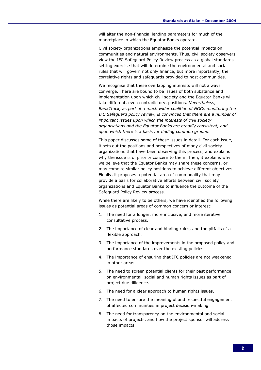will alter the non-financial lending parameters for much of the marketplace in which the Equator Banks operate.

Civil society organizations emphasize the potential impacts on communities and natural environments. Thus, civil society observers view the IFC Safeguard Policy Review process as a global standardssetting exercise that will determine the environmental and social rules that will govern not only finance, but more importantly, the correlative rights and safeguards provided to host communities.

We recognise that these overlapping interests will not always converge. There are bound to be issues of both substance and implementation upon which civil society and the Equator Banks will take different, even contradictory, positions. Nevertheless, BankTrack, as part of a much wider coalition of NGOs monitoring the IFC Safeguard policy review, is convinced that there are a number of important issues upon which the interests of civil society organisations and the Equator Banks are broadly consistent, and upon which there is a basis for finding common ground.

This paper discusses some of these issues in detail. For each issue, it sets out the positions and perspectives of many civil society organizations that have been observing this process, and explains why the issue is of priority concern to them. Then, it explains why we believe that the Equator Banks may share these concerns, or may come to similar policy positions to achieve different objectives. Finally, it proposes a potential area of commonality that may provide a basis for collaborative efforts between civil society organizations and Equator Banks to influence the outcome of the Safeguard Policy Review process.

While there are likely to be others, we have identified the following issues as potential areas of common concern or interest:

- 1. The need for a longer, more inclusive, and more iterative consultative process.
- 2. The importance of clear and binding rules, and the pitfalls of a flexible approach.
- 3. The importance of the improvements in the proposed policy and performance standards over the existing policies.
- 4. The importance of ensuring that IFC policies are not weakened in other areas.
- 5. The need to screen potential clients for their past performance on environmental, social and human rights issues as part of project due diligence.
- 6. The need for a clear approach to human rights issues.
- 7. The need to ensure the meaningful and respectful engagement of affected communities in project decision-making.
- 8. The need for transparency on the environmental and social impacts of projects, and how the project sponsor will address those impacts.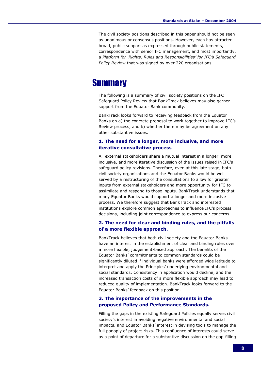The civil society positions described in this paper should not be seen as unanimous or consensus positions. However, each has attracted broad, public support as expressed through public statements, correspondence with senior IFC management, and most importantly, a Platform for 'Rights, Rules and Responsibilities' for IFC's Safeguard Policy Review that was signed by over 220 organisations.

## **Summary**

The following is a summary of civil society positions on the IFC Safeguard Policy Review that BankTrack believes may also garner support from the Equator Bank community.

BankTrack looks forward to receiving feedback from the Equator Banks on a) the concrete proposal to work together to improve IFC's Review process, and b) whether there may be agreement on any other substantive issues.

#### 1. The need for a longer, more inclusive, and more iterative consultative process

All external stakeholders share a mutual interest in a longer, more inclusive, and more iterative discussion of the issues raised in IFC's safeguard policy revisions. Therefore, even at this late stage, both civil society organisations and the Equator Banks would be well served by a restructuring of the consultations to allow for greater inputs from external stakeholders and more opportunity for IFC to assimilate and respond to those inputs. BankTrack understands that many Equator Banks would support a longer and more inclusive process. We therefore suggest that BankTrack and interested institutions explore common approaches to influence IFC's process decisions, including joint correspondence to express our concerns.

#### 2. The need for clear and binding rules, and the pitfalls of a more flexible approach.

BankTrack believes that both civil society and the Equator Banks have an interest in the establishment of clear and binding rules over a more flexible, judgement-based approach. The benefits of the Equator Banks' commitments to common standards could be significantly diluted if individual banks were afforded wide latitude to interpret and apply the Principles' underlying environmental and social standards. Consistency in application would decline, and the increased transaction costs of a more flexible approach may lead to reduced quality of implementation. BankTrack looks forward to the Equator Banks' feedback on this position.

#### 3. The importance of the improvements in the proposed Policy and Performance Standards.

Filling the gaps in the existing Safeguard Policies equally serves civil society's interest in avoiding negative environmental and social impacts, and Equator Banks' interest in devising tools to manage the full panoply of project risks. This confluence of interests could serve as a point of departure for a substantive discussion on the gap-filling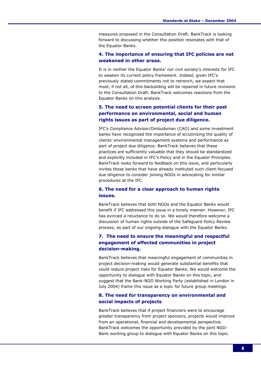measures proposed in the Consultation Draft. BankTrack is looking forward to discussing whether this position resonates with that of the Equator Banks.

#### 4. The importance of ensuring that IFC policies are not weakened in other areas.

It is in neither the Equator Banks' nor civil society's interests for IFC to weaken its current policy framework. Indeed, given IFC's previously stated commitments not to retrench, we expect that most, if not all, of this backsliding will be repaired in future revisions to the Consultation Draft. BankTrack welcomes reactions from the Equator Banks on this analysis.

#### 5. The need to screen potential clients for their past performance on environmental, social and human rights issues as part of project due diligence.

IFC's Compliance Advisor/Ombudsman (CAO) and some investment banks have recognized the importance of scrutinizing the quality of clients' environmental management systems and performance as part of project due diligence. BankTrack believes that these practices are sufficiently valuable that they should be standardized and explicitly included in IFC's Policy and in the Equator Principles. BankTrack looks forward to feedback on this issue, and particularly invites those banks that have already instituted such client-focused due diligence to consider joining NGOs in advocating for similar procedures at the IFC.

#### 6. The need for a clear approach to human rights issues.

BankTrack believes that both NGOs and the Equator Banks would benefit if IFC addressed this issue in a timely manner. However, IFC has evinced a reluctance to do so. We would therefore welcome a discussion of human rights outside of the Safeguard Policy Review process, as part of our ongoing dialogue with the Equator Banks.

#### 7. The need to ensure the meaningful and respectful engagement of affected communities in project decision-making.

BankTrack believes that meaningful engagement of communities in project decision-making would generate substantial benefits that could reduce project risks for Equator Banks. We would welcome the opportunity to dialogue with Equator Banks on this topic, and suggest that the Bank-NGO Working Party (established in London in July 2004) frame this issue as a topic for future group meetings.

#### 8. The need for transparency on environmental and social impacts of projects

BankTrack believes that if project financiers were to encourage greater transparency from project sponsors, projects would improve from an operational, financial and developmental perspective. BankTrack welcomes the opportunity provided by the joint NGO-Bank working group to dialogue with Equator Banks on this topic.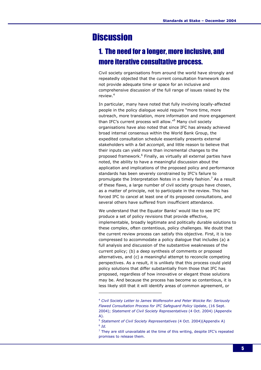# **Discussion**

ł

# 1. The need for a longer, more inclusive, and more iterative consultative process.

Civil society organisations from around the world have strongly and repeatedly objected that the current consultation framework does not provide adequate time or space for an inclusive and comprehensive discussion of the full range of issues raised by the review.<sup>4</sup>

In particular, many have noted that fully involving locally-affected people in the policy dialogue would require "more time, more outreach, more translation, more information and more engagement than IFC's current process will allow."<sup>5</sup> Many civil society organisations have also noted that since IFC has already achieved broad internal consensus within the World Bank Group, the expedited consultation schedule essentially presents external stakeholders with a fait accompli, and little reason to believe that their inputs can yield more than incremental changes to the proposed framework.<sup>6</sup> Finally, as virtually all external parties have noted, the ability to have a meaningful discussion about the application and implications of the proposed policy and performance standards has been severely constrained by IFC's failure to promulgate the Interpretation Notes in a timely fashion.<sup>7</sup> As a result of these flaws, a large number of civil society groups have chosen, as a matter of principle, not to participate in the review. This has forced IFC to cancel at least one of its proposed consultations, and several others have suffered from insufficient attendance.

We understand that the Equator Banks' would like to see IFC produce a set of policy revisions that provide effective, implementable, broadly legitimate and politically durable solutions to these complex, often contentious, policy challenges. We doubt that the current review process can satisfy this objective. First, it is too compressed to accommodate a policy dialogue that includes (a) a full analysis and discussion of the substantive weaknesses of the current policy; (b) a deep synthesis of comments or proposed alternatives, and (c) a meaningful attempt to reconcile competing perspectives. As a result, it is unlikely that this process could yield policy solutions that differ substantially from those that IFC has proposed, regardless of how innovative or elegant those solutions may be. And because the process has become so contentious, it is less likely still that it will identify areas of common agreement, or

<sup>&</sup>lt;sup>4</sup> Civil Society Letter to James Wolfensohn and Peter Woicke Re: Seriously Flawed Consultation Process for IFC Safeguard Policy Update, (16 Sept. 2004); Statement of Civil Society Representatives (4 Oct. 2004) (Appendix A).

<sup>&</sup>lt;sup>5</sup> Statement of Civil Society Representatives (4 Oct. 2004)(Appendix A)  $6$  Id.

 $<sup>7</sup>$  They are still unavailable at the time of this writing, despite IFC's repeated</sup> promises to release them.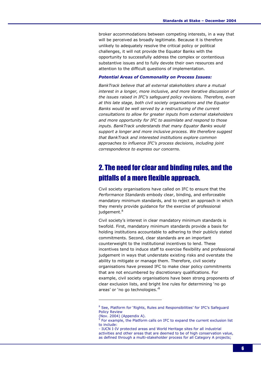broker accommodations between competing interests, in a way that will be perceived as broadly legitimate. Because it is therefore unlikely to adequately resolve the critical policy or political challenges, it will not provide the Equator Banks with the opportunity to successfully address the complex or contentious substantive issues and to fully devote their own resources and attention to the difficult questions of implementation.

#### Potential Areas of Commonality on Process Issues:

BankTrack believe that all external stakeholders share a mutual interest in a longer, more inclusive, and more iterative discussion of the issues raised in IFC's safeguard policy revisions. Therefore, even at this late stage, both civil society organisations and the Equator Banks would be well served by a restructuring of the current consultations to allow for greater inputs from external stakeholders and more opportunity for IFC to assimilate and respond to those inputs. BankTrack understands that many Equator Banks would support a longer and more inclusive process. We therefore suggest that BankTrack and interested institutions explore common approaches to influence IFC's process decisions, including joint correspondence to express our concerns.

### 2. The need for clear and binding rules, and the pitfalls of a more flexible approach.

Civil society organisations have called on IFC to ensure that the Performance Standards embody clear, binding, and enforceable mandatory minimum standards, and to reject an approach in which they merely provide guidance for the exercise of professional judgement.<sup>8</sup>

Civil society's interest in clear mandatory minimum standards is twofold. First, mandatory minimum standards provide a basis for holding institutions accountable to adhering to their publicly stated commitments. Second, clear standards are an important counterweight to the institutional incentives to lend. These incentives tend to induce staff to exercise flexibility and professional judgement in ways that understate existing risks and overstate the ability to mitigate or manage them. Therefore, civil society organisations have pressed IFC to make clear policy commitments that are not encumbered by discretionary qualifications. For example, civil society organisations have been strong proponents of clear exclusion lists, and bright line rules for determining 'no go areas' or 'no go technologies.<sup>'9</sup>

<sup>&</sup>lt;sup>8</sup> See, Platform for `Rights, Rules and Responsibilities' for IFC's Safeguard Policy Review

<sup>(</sup>Nov. 2004) (Appendix A).

<sup>&</sup>lt;sup>9</sup> For example, the Platform calls on IFC to expand the current exclusion list to include:

<sup>-</sup> IUCN I-IV protected areas and World Heritage sites for all industrial activities and other areas that are deemed to be of high conservation value, as defined through a multi-stakeholder process for all Category A projects;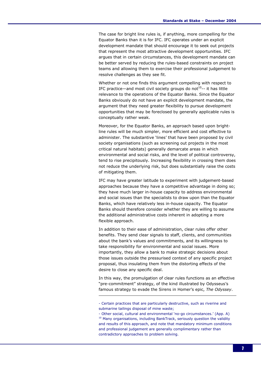The case for bright line rules is, if anything, more compelling for the Equator Banks than it is for IFC. IFC operates under an explicit development mandate that should encourage it to seek out projects that represent the most attractive development opportunities. IFC argues that in certain circumstances, this development mandate can be better served by reducing the rules-based constraints on project teams and allowing them to exercise their professional judgement to resolve challenges as they see fit.

Whether or not one finds this argument compelling with respect to IFC practice—and most civil society groups do not<sup>10</sup>-- it has little relevance to the operations of the Equator Banks. Since the Equator Banks obviously do not have an explicit development mandate, the argument that they need greater flexibility to pursue development opportunities that may be foreclosed by generally applicable rules is conceptually rather weak.

Moreover, for the Equator Banks, an approach based upon brightline rules will be much simpler, more efficient and cost effective to administer. The substantive 'lines' that have been proposed by civil society organisations (such as screening out projects in the most critical natural habitats) generally demarcate areas in which environmental and social risks, and the level of political controversy, tend to rise precipitously. Increasing flexibility in crossing them does not reduce the underlying risk, but does substantially raise the costs of mitigating them.

IFC may have greater latitude to experiment with judgement-based approaches because they have a competitive advantage in doing so; they have much larger in-house capacity to address environmental and social issues than the specialists to draw upon than the Equator Banks, which have relatively less in-house capacity. The Equator Banks should therefore consider whether they are willing to assume the additional administrative costs inherent in adopting a more flexible approach.

In addition to their ease of administration, clear rules offer other benefits. They send clear signals to staff, clients, and communities about the bank's values and commitments, and its willingness to take responsibility for environmental and social issues. More importantly, they allow a bank to make strategic decisions about those issues outside the pressurised context of any specific project proposal, thus insulating them from the distorting effects of the desire to close any specific deal.

In this way, the promulgation of clear rules functions as an effective "pre-commitment" strategy, of the kind illustrated by Odysseus's famous strategy to evade the Sirens in Homer's epic, The Odyssey.

<sup>-</sup> Certain practices that are particularly destructive, such as riverine and submarine tailings disposal of mine waste;

<sup>-</sup> Other social, cultural and environmental 'no-go circumstances.' (App. A) <sup>10</sup> Many organisations, including BankTrack, seriously question the validity and results of this approach, and note that mandatory minimum conditions and professional judgement are generally complimentary rather than contradictory approaches to problem solving.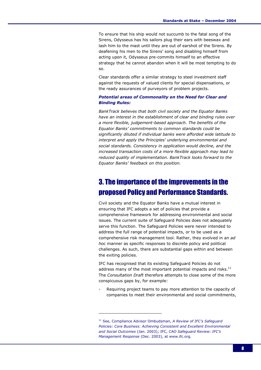To ensure that his ship would not succumb to the fatal song of the Sirens, Odysseus has his sailors plug their ears with beeswax and lash him to the mast until they are out of earshot of the Sirens. By deafening his men to the Sirens' song and disabling himself from acting upon it, Odysseus pre-commits himself to an effective strategy that he cannot abandon when it will be most tempting to do so.

Clear standards offer a similar strategy to steel investment staff against the requests of valued clients for special dispensations, or the ready assurances of purveyors of problem projects.

#### Potential areas of Commonality on the Need for Clear and Binding Rules:

BankTrack believes that both civil society and the Equator Banks have an interest in the establishment of clear and binding rules over a more flexible, judgement-based approach. The benefits of the Equator Banks' commitments to common standards could be significantly diluted if individual banks were afforded wide latitude to interpret and apply the Principles' underlying environmental and social standards. Consistency in application would decline, and the increased transaction costs of a more flexible approach may lead to reduced quality of implementation. BankTrack looks forward to the Equator Banks' feedback on this position.

### 3. The importance of the improvements in the proposed Policy and Performance Standards.

Civil society and the Equator Banks have a mutual interest in ensuring that IFC adopts a set of policies that provide a comprehensive framework for addressing environmental and social issues. The current suite of Safeguard Policies does not adequately serve this function. The Safeguard Policies were never intended to address the full range of potential impacts, or to be used as a comprehensive risk management tool. Rather, they evolved in an ad hoc manner as specific responses to discrete policy and political challenges. As such, there are substantial gaps within and between the exiting policies.

IFC has recognised that its existing Safeguard Policies do not address many of the most important potential impacts and risks. $<sup>11</sup>$ </sup> The Consultation Draft therefore attempts to close some of the more conspicuous gaps by, for example:

Requiring project teams to pay more attention to the capacity of companies to meet their environmental and social commitments,

 $11$  See, Compliance Advisor Ombudsman, A Review of IFC's Safeguard Policies: Core Business: Achieving Consistent and Excellent Environmental and Social Outcomes (Jan. 2003); IFC, CAO Safeguard Review: IFC's Management Response (Dec. 2003), at www.ifc.org.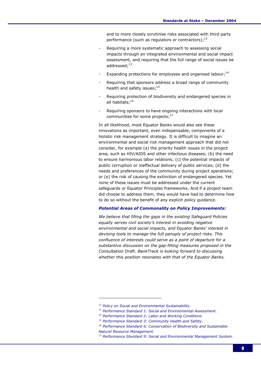and to more closely scrutinise risks associated with third party performance (such as regulators or contractors); $^{12}$ 

- Requiring a more systematic approach to assessing social impacts through an integrated environmental and social impact assessment, and requiring that the full range of social issues be addressed;<sup>13</sup>
- Expanding protections for employees and organised labour;<sup>14</sup>
- Requiring that sponsors address a broad range of community health and safety issues;<sup>15</sup>
- Requiring protection of biodiversity and endangered species in all habitats;<sup>16</sup>
- Requiring sponsors to have ongoing interactions with local communities for some projects; $17$

In all likelihood, most Equator Banks would also see these innovations as important, even indispensable, components of a holistic risk management strategy. It is difficult to imagine an environmental and social risk management approach that did not consider, for example (a) the priority health issues in the project area, such as HIV/AIDS and other infectious diseases; (b) the need to ensure harmonious labor relations; (c) the potential impacts of public corruption or ineffectual delivery of public services; (d) the needs and preferences of the community during project operations; or (e) the risk of causing the extinction of endangered species. Yet none of these issues must be addressed under the current safeguards or Equator Principles frameworks. And if a project team did choose to address them, they would have had to determine how to do so without the benefit of any explicit policy guidance.

#### Potential Areas of Commonality on Policy Improvements:

We believe that filling the gaps in the existing Safeguard Policies equally serves civil society's interest in avoiding negative environmental and social impacts, and Equator Banks' interest in devising tools to manage the full panoply of project risks. This confluence of interests could serve as a point of departure for a substantive discussion on the gap-filling measures proposed in the Consultation Draft. BankTrack is looking forward to discussing whether this position resonates with that of the Equator Banks.

<sup>&</sup>lt;sup>12</sup> Policy on Social and Environmental Sustainability.

<sup>&</sup>lt;sup>13</sup> Performance Standard 1: Social and Environmental Assessment.

<sup>14</sup> Performance Standard 2: Labor and Working Conditions.

<sup>&</sup>lt;sup>15</sup> Performance Standard 3: Community Health and Safety.

<sup>&</sup>lt;sup>16</sup> Performance Standard 6: Conservation of Biodiversity and Sustainable Natural Resource Management.

<sup>&</sup>lt;sup>17</sup> Performance Standard 9: Social and Environmental Management System.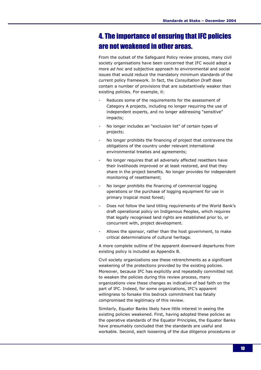### 4. The importance of ensuring that IFC policies are not weakened in other areas.

From the outset of the Safeguard Policy review process, many civil society organisations have been concerned that IFC would adopt a more ad hoc and subjective approach to environmental and social issues that would reduce the mandatory minimum standards of the current policy framework. In fact, the Consultation Draft does contain a number of provisions that are substantively weaker than existing policies. For example, it:

- Reduces some of the requirements for the assessment of Category A projects, including no longer requiring the use of independent experts, and no longer addressing "sensitive" impacts;
- No longer includes an "exclusion list" of certain types of projects;
- No longer prohibits the financing of project that contravene the obligations of the country under relevant international environmental treaties and agreements;
- No longer requires that all adversely affected resettlers have their livelihoods improved or at least restored, and that they share in the project benefits. No longer provides for independent monitoring of resettlement;
- No longer prohibits the financing of commercial logging operations or the purchase of logging equipment for use in primary tropical moist forest;
- Does not follow the land titling requirements of the World Bank's draft operational policy on Indigenous Peoples, which requires that legally recognised land rights are established prior to, or concurrent with, project development.
- Allows the sponsor, rather than the host government, to make critical determinations of cultural heritage.

A more complete outline of the apparent downward departures from existing policy is included as Appendix B.

Civil society organizations see these retrenchments as a significant weakening of the protections provided by the existing policies. Moreover, because IFC has explicitly and repeatedly committed not to weaken the policies during this review process, many organizations view these changes as indicative of bad faith on the part of IFC. Indeed, for some organizations, IFC's apparent willingness to forsake this bedrock commitment has fatally compromised the legitimacy of this review.

Similarly, Equator Banks likely have little interest in seeing the existing policies weakened. First, having adopted these policies as the operative standards of the Equator Principles, the Equator Banks have presumably concluded that the standards are useful and workable. Second, each loosening of the due diligence procedures or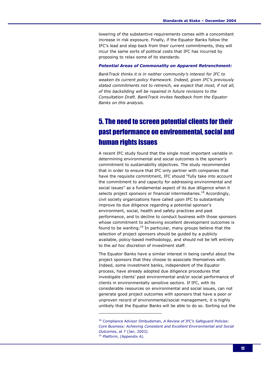lowering of the substantive requirements comes with a concomitant increase in risk exposure. Finally, if the Equator Banks follow the IFC's lead and step back from their current commitments, they will incur the same sorts of political costs that IFC has incurred by proposing to relax some of its standards.

#### Potential Areas of Commonality on Apparent Retrenchment:

BankTrack thinks it is in neither community's interest for IFC to weaken its current policy framework. Indeed, given IFC's previously stated commitments not to retrench, we expect that most, if not all, of this backsliding will be repaired in future revisions to the Consultation Draft. BankTrack invites feedback from the Equator Banks on this analysis.

# 5. The need to screen potential clients for their past performance on environmental, social and human rights issues

A recent IFC study found that the single most important variable in determining environmental and social outcomes is the sponsor's commitment to sustainability objectives. The study recommended that in order to ensure that IFC only partner with companies that have the requisite commitment, IFC should "fully take into account the commitment to and capacity for addressing environmental and social issues" as a fundamental aspect of its due diligence when it selects project sponsors or financial intermediaries.<sup>18</sup> Accordingly, civil society organizations have called upon IFC to substantially improve its due diligence regarding a potential sponsor's environment, social, health and safety practices and past performance, and to decline to conduct business with those sponsors whose commitment to achieving excellent development outcomes is found to be wanting.<sup>19</sup> In particular, many groups believe that the selection of project sponsors should be guided by a publicly available, policy-based methodology, and should not be left entirely to the ad hoc discretion of investment staff.

The Equator Banks have a similar interest in being careful about the project sponsors that they choose to associate themselves with. Indeed, some investment banks, independent of the Equator process, have already adopted due diligence procedures that investigate clients' past environmental and/or social performance of clients in environmentally sensitive sectors. If IFC, with its considerable resources on environmental and social issues, can not generate good project outcomes with sponsors that have a poor or unproven record of environmental/social management, it is highly unlikely that the Equator Banks will be able to do so. Sorting out the

<sup>&</sup>lt;sup>18</sup> Compliance Advisor Ombudsman, A Review of IFC's Safeguard Policies: Core Business: Achieving Consistent and Excellent Environmental and Social Outcomes, at 7 (Jan. 2003). <sup>19</sup> Platform, (Appendix A).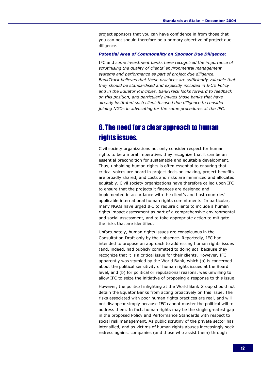project sponsors that you can have confidence in from those that you can not should therefore be a primary objective of project due diligence.

#### Potential Area of Commonality on Sponsor Due Diligence:

IFC and some investment banks have recognised the importance of scrutinising the quality of clients' environmental management systems and performance as part of project due diligence. BankTrack believes that these practices are sufficiently valuable that they should be standardised and explicitly included in IFC's Policy and in the Equator Principles. BankTrack looks forward to feedback on this position, and particularly invites those banks that have already instituted such client-focused due diligence to consider joining NGOs in advocating for the same procedures at the IFC.

# 6. The need for a clear approach to human rights issues.

Civil society organizations not only consider respect for human rights to be a moral imperative, they recognize that it can be an essential precondition for sustainable and equitable development. Thus, upholding human rights is often essential to ensuring that critical voices are heard in project decision-making, project benefits are broadly shared, and costs and risks are minimized and allocated equitably. Civil society organizations have therefore called upon IFC to ensure that the projects it finances are designed and implemented in accordance with the client's and host countries' applicable international human rights commitments. In particular, many NGOs have urged IFC to require clients to include a human rights impact assessment as part of a comprehensive environmental and social assessment, and to take appropriate action to mitigate the risks that are identified.

Unfortunately, human rights issues are conspicuous in the Consultation Draft only by their absence. Reportedly, IFC had intended to propose an approach to addressing human rights issues (and, indeed, had publicly committed to doing so), because they recognize that it is a critical issue for their clients. However, IFC apparently was stymied by the World Bank, which (a) is concerned about the political sensitivity of human rights issues at the Board level, and (b) for political or reputational reasons, was unwilling to allow IFC to seize the initiative of proposing a response to this issue.

However, the political infighting at the World Bank Group should not detain the Equator Banks from acting proactively on this issue. The risks associated with poor human rights practices are real, and will not disappear simply because IFC cannot muster the political will to address them. In fact, human rights may be the single greatest gap in the proposed Policy and Performance Standards with respect to social risk management. As public scrutiny of the private sector has intensified, and as victims of human rights abuses increasingly seek redress against companies (and those who assist them) through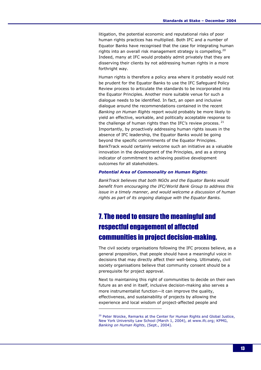litigation, the potential economic and reputational risks of poor human rights practices has multiplied. Both IFC and a number of Equator Banks have recognised that the case for integrating human rights into an overall risk management strategy is compelling.<sup>20</sup> Indeed, many at IFC would probably admit privately that they are disserving their clients by not addressing human rights in a more forthright way.

Human rights is therefore a policy area where it probably would not be prudent for the Equator Banks to use the IFC Safeguard Policy Review process to articulate the standards to be incorporated into the Equator Principles. Another more suitable venue for such a dialogue needs to be identified. In fact, an open and inclusive dialogue around the recommendations contained in the recent Banking on Human Rights report would probably be more likely to yield an effective, workable, and politically acceptable response to the challenge of human rights than the IFC's review process.  $21$ Importantly, by proactively addressing human rights issues in the absence of IFC leadership, the Equator Banks would be going beyond the specific commitments of the Equator Principles. BankTrack would certainly welcome such an initiative as a valuable innovation in the development of the Principles, and as a strong indicator of commitment to achieving positive development outcomes for all stakeholders.

#### Potential Area of Commonality on Human Rights:

BankTrack believes that both NGOs and the Equator Banks would benefit from encouraging the IFC/World Bank Group to address this issue in a timely manner, and would welcome a discussion of human rights as part of its ongoing dialogue with the Equator Banks.

# 7. The need to ensure the meaningful and respectful engagement of affected communities in project decision-making.

The civil society organisations following the IFC process believe, as a general proposition, that people should have a meaningful voice in decisions that may directly affect their well-being. Ultimately, civil society organisations believe that community consent should be a prerequisite for project approval.

Next to maintaining this right of communities to decide on their own future as an end in itself, inclusive decision-making also serves a more instrumentalist function—it can improve the quality, effectiveness, and sustainability of projects by allowing the experience and local wisdom of project-affected people and

<sup>&</sup>lt;sup>20</sup> Peter Woicke, Remarks at the Center for Human Rights and Global Justice, New York University Law School (March 1, 2004), at www.ifc.org; KPMG, Banking on Human Rights, (Sept., 2004).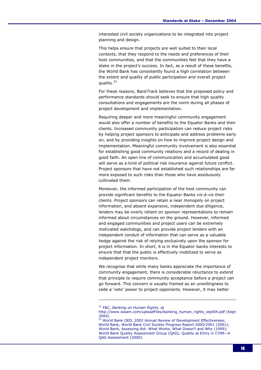interested civil society organizations to be integrated into project planning and design.

This helps ensure that projects are well suited to their local contexts, that they respond to the needs and preferences of their host communities, and that the communities feel that they have a stake in the project's success. In fact, as a result of these benefits, the World Bank has consistently found a high correlation between the extent and quality of public participation and overall project quality.<sup>22</sup>

For these reasons, BankTrack believes that the proposed policy and performance standards should seek to ensure that high quality consultations and engagements are the norm during all phases of project development and implementation.

Requiring deeper and more meaningful community engagement would also offer a number of benefits to the Equator Banks and their clients. Increased community participation can reduce project risks by helping project sponsors to anticipate and address problems early on, and by providing insights on how to improve project design and implementation. Meaningful community involvement is also essential for establishing good community relations and a record of dealing in good faith. An open line of communication and accumulated good will serve as a kind of political risk insurance against future conflict. Project sponsors that have not established such relationships are far more exposed to such risks than those who have assiduously cultivated them.

Moreover, the informed participation of the host community can provide significant benefits to the Equator Banks vis-à-vis their clients. Project sponsors can retain a near monopoly on project information, and absent expansive, independent due diligence, lenders may be overly reliant on sponsor representations to remain informed about circumstances on the ground. However, informed and engaged communities and project users can be extremely motivated watchdogs, and can provide project lenders with an independent conduit of information that can serve as a valuable hedge against the risk of relying exclusively upon the sponsor for project information. In short, it is in the Equator banks interests to ensure that that the public is effectively mobilized to serve as independent project monitors.

We recognise that while many banks appreciate the importance of community engagement, there is considerable reluctance to extend that principle to require community acceptance before a project can go forward. This concern is usually framed as an unwillingness to cede a 'veto' power to project opponents. However, it may better

<sup>&</sup>lt;sup>21</sup> F&C, Banking on Human Rights, at

http://www.isisam.com/uploadFiles/banking\_human\_rights\_sept04.pdf (Sept 2004)

<sup>22</sup> World Bank OED, 2002 Annual Review of Development Effectiveness; World Bank, World Bank Civil Society Progress Report 2000/2001 (2001); World Bank, Assessing Aid: What Works, What Doesn't and Why (1999); World Bank Quality Assessment Group (QAG), Quality at Entry in CY99—A QAG Assessment (2000).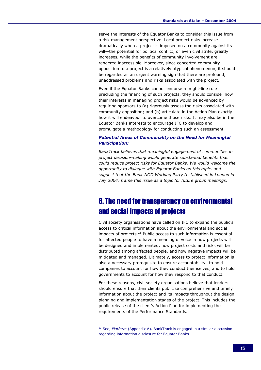serve the interests of the Equator Banks to consider this issue from a risk management perspective. Local project risks increase dramatically when a project is imposed on a community against its will—the potential for political conflict, or even civil strife, greatly increases, while the benefits of community involvement are rendered inaccessible. Moreover, since concerted community opposition to a project is a relatively atypical phenomenon, it should be regarded as an urgent warning sign that there are profound, unaddressed problems and risks associated with the project.

Even if the Equator Banks cannot endorse a bright-line rule precluding the financing of such projects, they should consider how their interests in managing project risks would be advanced by requiring sponsors to (a) rigorously assess the risks associated with community opposition; and (b) articulate in the Action Plan exactly how it will endeavour to overcome those risks. It may also be in the Equator Banks interests to encourage IFC to develop and promulgate a methodology for conducting such an assessment.

#### Potential Areas of Commonality on the Need for Meaningful Participation:

BankTrack believes that meaningful engagement of communities in project decision-making would generate substantial benefits that could reduce project risks for Equator Banks. We would welcome the opportunity to dialogue with Equator Banks on this topic, and suggest that the Bank-NGO Working Party (established in London in July 2004) frame this issue as a topic for future group meetings.

### 8. The need for transparency on environmental and social impacts of projects

Civil society organisations have called on IFC to expand the public's access to critical information about the environmental and social impacts of projects. $^{23}$  Public access to such information is essential for affected people to have a meaningful voice in how projects will be designed and implemented, how project costs and risks will be distributed among affected people, and how negative impacts will be mitigated and managed. Ultimately, access to project information is also a necessary prerequisite to ensure accountability--to hold companies to account for how they conduct themselves, and to hold governments to account for how they respond to that conduct.

For these reasons, civil society organisations believe that lenders should ensure that their clients publicise comprehensive and timely information about the project and its impacts throughout the design, planning and implementation stages of the project. This includes the public release of the client's Action Plan for implementing the requirements of the Performance Standards.

 $23$  See, Platform (Appendix A). BankTrack is engaged in a similar discussion regarding information disclosure for Equator Banks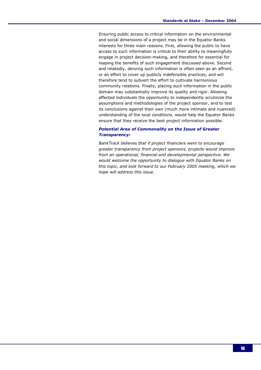Ensuring public access to critical information on the environmental and social dimensions of a project may be in the Equator Banks interests for three main reasons. First, allowing the public to have access to such information is critical to their ability to meaningfully engage in project decision-making, and therefore for essential for reaping the benefits of such engagement discussed above. Second and relatedly, denying such information is often seen as an affront, or an effort to cover up publicly indefensible practices, and will therefore tend to subvert the effort to cultivate harmonious community relations. Finally, placing such information in the public domain may substantially improve its quality and rigor. Allowing affected individuals the opportunity to independently scrutinize the assumptions and methodologies of the project sponsor, and to test its conclusions against their own (much more intimate and nuanced) understanding of the local conditions, would help the Equator Banks ensure that they receive the best project information possible.

#### Potential Area of Commonality on the Issue of Greater Transparency:

BankTrack believes that if project financiers were to encourage greater transparency from project sponsors, projects would improve from an operational, financial and developmental perspective. We would welcome the opportunity to dialogue with Equator Banks on this topic, and look forward to our February 2005 meeting, which we hope will address this issue.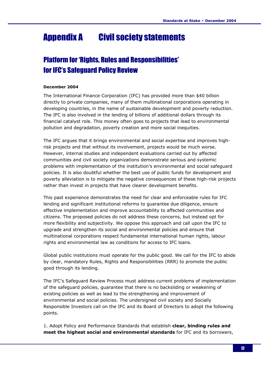# Appendix A Civil society statements

# Platform for 'Rights, Rules and Responsibilities' for IFC's Safeguard Policy Review

#### December 2004

The International Finance Corporation (IFC) has provided more than \$40 billion directly to private companies, many of them multinational corporations operating in developing countries, in the name of sustainable development and poverty reduction. The IFC is also involved in the lending of billions of additional dollars through its financial catalyst role. This money often goes to projects that lead to environmental pollution and degradation, poverty creation and more social inequities.

The IFC argues that it brings environmental and social expertise and improves highrisk projects and that without its involvement, projects would be much worse. However, internal studies and independent evaluations carried out by affected communities and civil society organizations demonstrate serious and systemic problems with implementation of the institution's environmental and social safeguard policies. It is also doubtful whether the best use of public funds for development and poverty alleviation is to mitigate the negative consequences of these high-risk projects rather than invest in projects that have clearer development benefits.

This past experience demonstrates the need for clear and enforceable rules for IFC lending and significant institutional reforms to guarantee due diligence, ensure effective implementation and improve accountability to affected communities and citizens. The proposed policies do not address these concerns, but instead opt for more flexibility and subjectivity. We oppose this approach and call upon the IFC to upgrade and strengthen its social and environmental policies and ensure that multinational corporations respect fundamental international human rights, labour rights and environmental law as conditions for access to IFC loans.

Global public institutions must operate for the public good. We call for the IFC to abide by clear, mandatory Rules, Rights and Responsibilities (RRR) to promote the public good through its lending.

The IFC's Safeguard Review Process must address current problems of implementation of the safeguard policies, guarantee that there is no backsliding or weakening of existing policies as well as lead to the strengthening and improvement of environmental and social policies. The undersigned civil society and Socially Responsible Investors call on the IFC and its Board of Directors to adopt the following points.

1. Adopt Policy and Performance Standards that establish clear, binding rules and meet the highest social and environmental standards for IFC and its borrowers,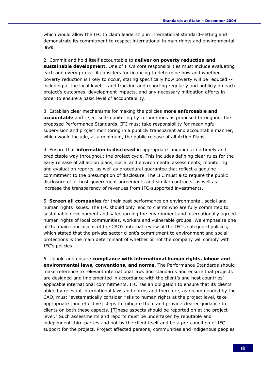which would allow the IFC to claim leadership in international standard-setting and demonstrate its commitment to respect international human rights and environmental laws.

2. Commit and hold itself accountable to deliver on poverty reduction and sustainable development. One of IFC's core responsibilities must include evaluating each and every project it considers for financing to determine how and whether poverty reduction is likely to occur, stating specifically how poverty will be reduced - including at the local level -- and tracking and reporting regularly and publicly on each project's outcomes, development impacts, and any necessary mitigation efforts in order to ensure a basic level of accountability.

3. Establish clear mechanisms for making the policies more enforceable and accountable and reject self-monitoring by corporations as proposed throughout the proposed Performance Standards. IFC must take responsibility for meaningful supervision and project monitoring in a publicly transparent and accountable manner, which would include, at a minimum, the public release of all Action Plans.

4. Ensure that information is disclosed in appropriate languages in a timely and predictable way throughout the project cycle. This includes defining clear rules for the early release of all action plans, social and environmental assessments, monitoring and evaluation reports, as well as procedural guarantee that reflect a genuine commitment to the presumption of disclosure. The IFC must also require the public disclosure of all host government agreements and similar contracts, as well as increase the transparency of revenues from IFC-supported investments.

5. Screen all companies for their past performance on environmental, social and human rights issues. The IFC should only lend to clients who are fully committed to sustainable development and safeguarding the environment and internationally agreed human rights of local communities, workers and vulnerable groups. We emphasise one of the main conclusions of the CAO's internal review of the IFC's safeguard policies, which stated that the private sector client's commitment to environment and social protections is the main determinant of whether or not the company will comply with IFC's policies.

6. Uphold and ensure compliance with international human rights, labour and environmental laws, conventions, and norms. The Performance Standards should make reference to relevant international laws and standards and ensure that projects are designed and implemented in accordance with the client's and host countries' applicable international commitments. IFC has an obligation to ensure that its clients abide by relevant international laws and norms and therefore, as recommended by the CAO, must "systematically consider risks to human rights at the project level, take appropriate [and effective] steps to mitigate them and provide clearer guidance to clients on both these aspects. [T]hese aspects should be reported on at the project level." Such assessments and reports must be undertaken by reputable and independent third parties and not by the client itself and be a pre-condition of IFC support for the project. Project affected persons, communities and indigenous peoples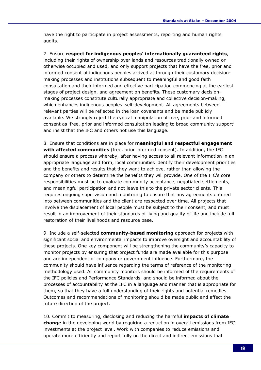have the right to participate in project assessments, reporting and human rights audits.

7. Ensure respect for indigenous peoples' internationally guaranteed rights, including their rights of ownership over lands and resources traditionally owned or otherwise occupied and used, and only support projects that have the free, prior and informed consent of indigenous peoples arrived at through their customary decisionmaking processes and institutions subsequent to meaningful and good faith consultation and their informed and effective participation commencing at the earliest stages of project design, and agreement on benefits. These customary decisionmaking processes constitute culturally appropriate and collective decision-making, which enhances indigenous peoples' self-development. All agreements between relevant parties will be reflected in the loan covenants and be made publicly available. We strongly reject the cynical manipulation of free, prior and informed consent as 'free, prior and informed consultation leading to broad community support' and insist that the IFC and others not use this language.

8. Ensure that conditions are in place for meaningful and respectful engagement with affected communities (free, prior informed consent). In addition, the IFC should ensure a process whereby, after having access to all relevant information in an appropriate language and form, local communities identify their development priorities and the benefits and results that they want to achieve, rather than allowing the company or others to determine the benefits they will provide. One of the IFC's core responsibilities must be to evaluate community acceptance, negotiated settlements, and meaningful participation and not leave this to the private sector clients. This requires ongoing supervision and monitoring to ensure that any agreements entered into between communities and the client are respected over time. All projects that involve the displacement of local people must be subject to their consent, and must result in an improvement of their standards of living and quality of life and include full restoration of their livelihoods and resource base.

9. Include a self-selected community-based monitoring approach for projects with significant social and environmental impacts to improve oversight and accountability of these projects. One key component will be strengthening the community's capacity to monitor projects by ensuring that project funds are made available for this purpose and are independent of company or government influence. Furthermore, the community should have influence regarding the terms of reference of the monitoring methodology used. All community monitors should be informed of the requirements of the IFC policies and Performance Standards, and should be informed about the processes of accountability at the IFC in a language and manner that is appropriate for them, so that they have a full understanding of their rights and potential remedies. Outcomes and recommendations of monitoring should be made public and affect the future direction of the project.

10. Commit to measuring, disclosing and reducing the harmful **impacts of climate** change in the developing world by requiring a reduction in overall emissions from IFC investments at the project level. Work with companies to reduce emissions and operate more efficiently and report fully on the direct and indirect emissions that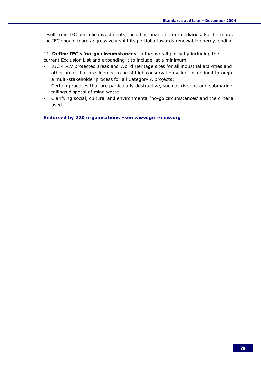result from IFC portfolio investments, including financial intermediaries. Furthermore, the IFC should more aggressively shift its portfolio towards renewable energy lending.

11. Define IFC's 'no-go circumstances' in the overall policy by including the current Exclusion List and expanding it to include, at a minimum,

- IUCN I-IV protected areas and World Heritage sites for all industrial activities and other areas that are deemed to be of high conservation value, as defined through a multi-stakeholder process for all Category A projects;
- Certain practices that are particularly destructive, such as riverine and submarine tailings disposal of mine waste;
- Clarifying social, cultural and environmental 'no-go circumstances' and the criteria used.

Endorsed by 220 organisations –see www.grrr-now.org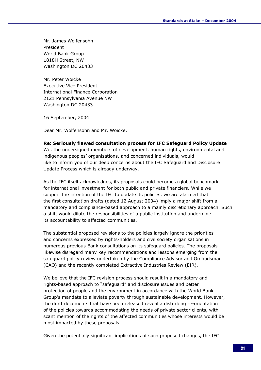Mr. James Wolfensohn President World Bank Group 1818H Street, NW Washington DC 20433

Mr. Peter Woicke Executive Vice President International Finance Corporation 2121 Pennsylvania Avenue NW Washington DC 20433

16 September, 2004

Dear Mr. Wolfensohn and Mr. Woicke,

#### Re: Seriously flawed consultation process for IFC Safeguard Policy Update

We, the undersigned members of development, human rights, environmental and indigenous peoples' organisations, and concerned individuals, would like to inform you of our deep concerns about the IFC Safeguard and Disclosure Update Process which is already underway.

As the IFC itself acknowledges, its proposals could become a global benchmark for international investment for both public and private financiers. While we support the intention of the IFC to update its policies, we are alarmed that the first consultation drafts (dated 12 August 2004) imply a major shift from a mandatory and compliance-based approach to a mainly discretionary approach. Such a shift would dilute the responsibilities of a public institution and undermine its accountability to affected communities.

The substantial proposed revisions to the policies largely ignore the priorities and concerns expressed by rights-holders and civil society organisations in numerous previous Bank consultations on its safeguard policies. The proposals likewise disregard many key recommendations and lessons emerging from the safeguard policy review undertaken by the Compliance Advisor and Ombudsman (CAO) and the recently completed Extractive Industries Review (EIR).

We believe that the IFC revision process should result in a mandatory and rights-based approach to "safeguard" and disclosure issues and better protection of people and the environment in accordance with the World Bank Group's mandate to alleviate poverty through sustainable development. However, the draft documents that have been released reveal a disturbing re-orientation of the policies towards accommodating the needs of private sector clients, with scant mention of the rights of the affected communities whose interests would be most impacted by these proposals.

Given the potentially significant implications of such proposed changes, the IFC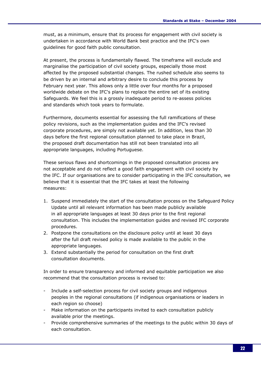must, as a minimum, ensure that its process for engagement with civil society is undertaken in accordance with World Bank best practice and the IFC's own guidelines for good faith public consultation.

At present, the process is fundamentally flawed. The timeframe will exclude and marginalise the participation of civil society groups, especially those most affected by the proposed substantial changes. The rushed schedule also seems to be driven by an internal and arbitrary desire to conclude this process by February next year. This allows only a little over four months for a proposed worldwide debate on the IFC's plans to replace the entire set of its existing Safeguards. We feel this is a grossly inadequate period to re-assess policies and standards which took years to formulate.

Furthermore, documents essential for assessing the full ramifications of these policy revisions, such as the implementation guides and the IFC's revised corporate procedures, are simply not available yet. In addition, less than 30 days before the first regional consultation planned to take place in Brazil, the proposed draft documentation has still not been translated into all appropriate languages, including Portuguese.

These serious flaws and shortcomings in the proposed consultation process are not acceptable and do not reflect a good faith engagement with civil society by the IFC. If our organisations are to consider participating in the IFC consultation, we believe that it is essential that the IFC takes at least the following measures:

- 1. Suspend immediately the start of the consultation process on the Safeguard Policy Update until all relevant information has been made publicly available in all appropriate languages at least 30 days prior to the first regional consultation. This includes the implementation guides and revised IFC corporate procedures.
- 2. Postpone the consultations on the disclosure policy until at least 30 days after the full draft revised policy is made available to the public in the appropriate languages.
- 3. Extend substantially the period for consultation on the first draft consultation documents.

In order to ensure transparency and informed and equitable participation we also recommend that the consultation process is revised to:

- Include a self-selection process for civil society groups and indigenous peoples in the regional consultations (if indigenous organisations or leaders in each region so choose)
- Make information on the participants invited to each consultation publicly available prior the meetings.
- Provide comprehensive summaries of the meetings to the public within 30 days of each consultation.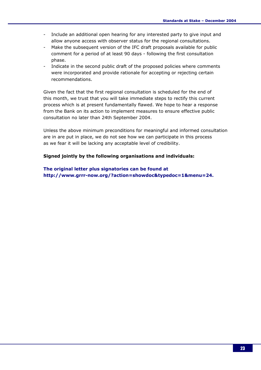- Include an additional open hearing for any interested party to give input and allow anyone access with observer status for the regional consultations.
- Make the subsequent version of the IFC draft proposals available for public comment for a period of at least 90 days - following the first consultation phase.
- Indicate in the second public draft of the proposed policies where comments were incorporated and provide rationale for accepting or rejecting certain recommendations.

Given the fact that the first regional consultation is scheduled for the end of this month, we trust that you will take immediate steps to rectify this current process which is at present fundamentally flawed. We hope to hear a response from the Bank on its action to implement measures to ensure effective public consultation no later than 24th September 2004.

Unless the above minimum preconditions for meaningful and informed consultation are in are put in place, we do not see how we can participate in this process as we fear it will be lacking any acceptable level of credibility.

#### Signed jointly by the following organisations and individuals:

The original letter plus signatories can be found at http://www.grrr-now.org/?action=showdoc&typedoc=1&menu=24.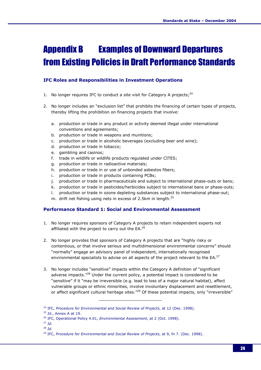# Appendix B Examples of Downward Departures from Existing Policies in Draft Performance Standards

#### IFC Roles and Responsibilities in Investment Operations

- 1. No longer requires IFC to conduct a site visit for Category A projects;<sup>24</sup>
- 2. No longer includes an "exclusion list" that prohibits the financing of certain types of projects, thereby lifting the prohibition on financing projects that involve:
	- a. production or trade in any product or activity deemed illegal under international conventions and agreements;
	- b. production or trade in weapons and munitions;
	- c. production or trade in alcoholic beverages (excluding beer and wine);
	- d. production or trade in tobacco;
	- e. gambling and casinos;
	- f. trade in wildlife or wildlife products regulated under CITES;
	- g. production or trade in radioactive materials;
	- h. production or trade in or use of unbonded asbestos fibers;
	- i. production or trade in products containing PCBs;
	- j. production or trade in pharmaceuticals and subject to international phase-outs or bans;
	- k. production or trade in pesticides/herbicides subject to international bans or phase-outs;
	- l. production or trade in ozone depleting substances subject to international phase-out;
	- m. drift net fishing using nets in excess of 2.5km in length. $^{25}$

#### Performance Standard 1: Social and Environmental Assessment

- 1. No longer requires sponsors of Category A projects to retain independent experts not affiliated with the project to carry out the  $EA.^{26}$
- 2. No longer provides that sponsors of Category A projects that are "highly risky or contentious, or that involve serious and multidimensional environmental concerns" should "normally" engage an advisory panel of independent, internationally recognised environmental specialists to advise on all aspects of the project relevant to the EA.<sup>27</sup>
- 3. No longer includes "sensitive" impacts within the Category A definition of "significant adverse impacts."<sup>28</sup> Under the current policy, a potential impact is considered to be "sensitive" if it "may be irreversible (e.g. lead to loss of a major natural habitat), affect vulnerable groups or ethnic minorities, involve involuntary displacement and resettlement, or affect significant cultural heritage sites."<sup>29</sup> Of these potential impacts, only "irreversible"

 $25$  *Id.*, Annex A at 19.

ł

 $28$  Id.

 $24$  IFC, Procedure for Environmental and Social Review of Projects, at 12 (Dec. 1998).

<sup>&</sup>lt;sup>26</sup> IFC, Operational Policy 4.01, Environmental Assessment, at 2 (Oct. 1998).

 $27$  Id.

<sup>&</sup>lt;sup>29</sup> IFC, Procedure for Environmental and Social Review of Projects, at 9, fn 7. (Dec. 1998).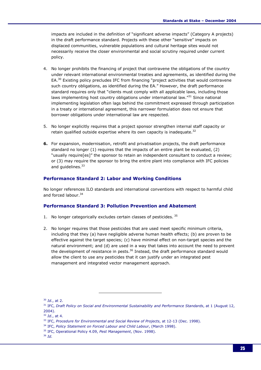impacts are included in the definition of "significant adverse impacts" (Category A projects) in the draft performance standard. Projects with these other "sensitive" impacts on displaced communities, vulnerable populations and cultural heritage sites would not necessarily receive the closer environmental and social scrutiny required under current policy.

- 4. No longer prohibits the financing of project that contravene the obligations of the country under relevant international environmental treaties and agreements, as identified during the EA.<sup>30</sup> Existing policy precludes IFC from financing "project activities that would contravene such country obligations, as identified during the EA." However, the draft performance standard requires only that "clients must comply with all applicable laws, including those laws implementing host country obligations under international law."<sup>31</sup> Since national implementing legislation often lags behind the commitment expressed through participation in a treaty or international agreement, this narrower formulation does not ensure that borrower obligations under international law are respected.
- 5. No longer explicitly requires that a project sponsor strengthen internal staff capacity or retain qualified outside expertise where its own capacity is inadequate.<sup>32</sup>
- 6. For expansion, modernisation, retrofit and privatisation projects, the draft performance standard no longer (1) requires that the impacts of an entire plant be evaluated, (2) "usually require[es]" the sponsor to retain an independent consultant to conduct a review; or (3) may require the sponsor to bring the entire plant into compliance with IFC policies and quidelines.<sup>33</sup>

#### Performance Standard 2: Labor and Working Conditions

No longer references ILO standards and international conventions with respect to harmful child and forced labour.<sup>34</sup>

#### Performance Standard 3: Pollution Prevention and Abatement

- 1. No longer categorically excludes certain classes of pesticides. 35
- 2. No longer requires that those pesticides that are used meet specific minimum criteria, including that they (a) have negligible adverse human health effects; (b) are proven to be effective against the target species; (c) have minimal effect on non-target species and the natural environment; and (d) are used in a way that takes into account the need to prevent the development of resistance in pests.<sup>36</sup> Instead, the draft performance standard would allow the client to use any pesticides that it can justify under an integrated pest management and integrated vector management approach.

 $30$  *Id.*, at 2.

 $31$  IFC, Draft Policy on Social and Environmental Sustainability and Performance Standards, at 1 (August 12, 2004).

 $32$  *Id.*, at 4.

<sup>&</sup>lt;sup>33</sup> IFC, Procedure for Environmental and Social Review of Projects, at 12-13 (Dec. 1998).

<sup>&</sup>lt;sup>34</sup> IFC, Policy Statement on Forced Labour and Child Labour, (March 1998).

<sup>&</sup>lt;sup>35</sup> IFC, Operational Policy 4.09, Pest Management, (Nov. 1998).

 $36$  Id.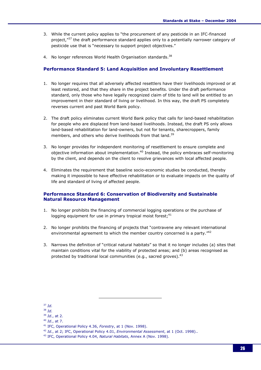- 3. While the current policy applies to "the procurement of any pesticide in an IFC-financed project,"<sup>37</sup> the draft performance standard applies only to a potentially narrower category of pesticide use that is "necessary to support project objectives."
- 4. No longer references World Health Organisation standards.<sup>38</sup>

#### Performance Standard 5: Land Acquisition and Involuntary Resettlement

- 1. No longer requires that all adversely affected resettlers have their livelihoods improved or at least restored, and that they share in the project benefits. Under the draft performance standard, only those who have legally recognized claim of title to land will be entitled to an improvement in their standard of living or livelihood. In this way, the draft PS completely reverses current and past World Bank policy.
- 2. The draft policy eliminates current World Bank policy that calls for land-based rehabilitation for people who are displaced from land-based livelihoods. Instead, the draft PS only allows land-based rehabilitation for land-owners, but not for tenants, sharecroppers, family members, and others who derive livelihoods from that land.<sup>39</sup>
- 3. No longer provides for independent monitoring of resettlement to ensure complete and objective information about implementation. $40$  Instead, the policy embraces self-monitoring by the client, and depends on the client to resolve grievances with local affected people.
- 4. Eliminates the requirement that baseline socio-economic studies be conducted, thereby making it impossible to have effective rehabilitation or to evaluate impacts on the quality of life and standard of living of affected people.

#### Performance Standard 6: Conservation of Biodiversity and Sustainable Natural Resource Management

- 1. No longer prohibits the financing of commercial logging operations or the purchase of logging equipment for use in primary tropical moist forest;  $41$
- 2. No longer prohibits the financing of projects that "contravene any relevant international environmental agreement to which the member country concerned is a party.<sup>"42</sup>
- 3. Narrows the definition of "critical natural habitats" so that it no longer includes (a) sites that maintain conditions vital for the viability of protected areas; and (b) areas recognised as protected by traditional local communities (e.g., sacred groves).<sup>43</sup>

 $37$  Id.

<sup>38</sup> Id.

 $39$  *Id.*, at 2.

 $40$  *Id.*, at 7.

<sup>&</sup>lt;sup>41</sup> IFC, Operational Policy 4.36, Forestry, at 1 (Nov. 1998).

<sup>&</sup>lt;sup>42</sup> Id., at 2; IFC, Operational Policy 4.01, Environmental Assessment, at 1 (Oct. 1998)..

<sup>&</sup>lt;sup>43</sup> IFC, Operational Policy 4.04, Natural Habitats, Annex A (Nov. 1998).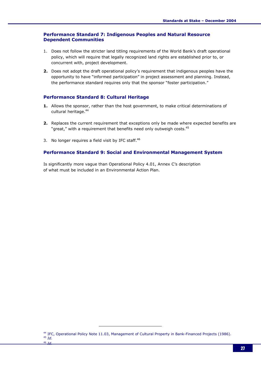#### Performance Standard 7: Indigenous Peoples and Natural Resource Dependent Communities

- 1. Does not follow the stricter land titling requirements of the World Bank's draft operational policy, which will require that legally recognized land rights are established prior to, or concurrent with, project development.
- 2. Does not adopt the draft operational policy's requirement that indigenous peoples have the opportunity to have "informed participation" in project assessment and planning. Instead, the performance standard requires only that the sponsor "foster participation."

#### Performance Standard 8: Cultural Heritage

- 1. Allows the sponsor, rather than the host government, to make critical determinations of cultural heritage.<sup>44</sup>
- 2. Replaces the current requirement that exceptions only be made where expected benefits are "great," with a requirement that benefits need only outweigh costs.<sup>45</sup>
- 3. No longer requires a field visit by IFC staff. $46$

#### Performance Standard 9: Social and Environmental Management System

Is significantly more vague than Operational Policy 4.01, Annex C's description of what must be included in an Environmental Action Plan.

<sup>44</sup> IFC, Operational Policy Note 11.03, Management of Cultural Property in Bank-Financed Projects (1986).  $45$  Id.  $46 -$